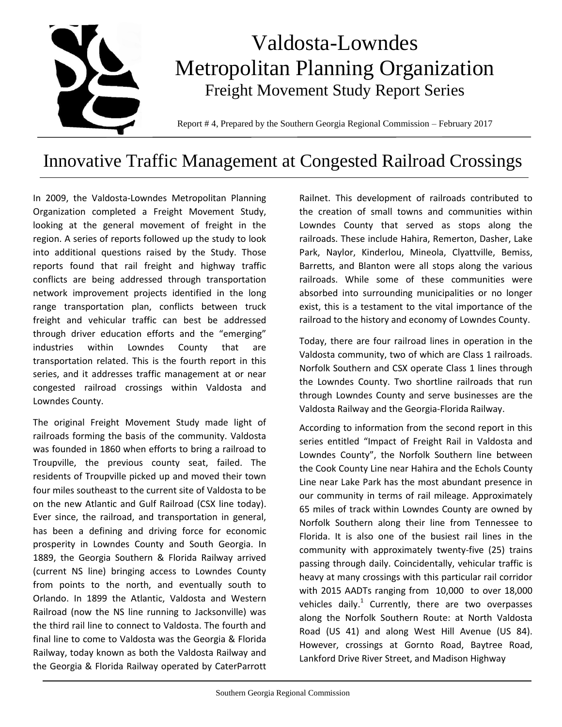

# Innovative Traffic Management at Congested Railroad Crossings

In 2009, the Valdosta-Lowndes Metropolitan Planning Organization completed a Freight Movement Study, looking at the general movement of freight in the region. A series of reports followed up the study to look into additional questions raised by the Study. Those reports found that rail freight and highway traffic conflicts are being addressed through transportation network improvement projects identified in the long range transportation plan, conflicts between truck freight and vehicular traffic can best be addressed through driver education efforts and the "emerging" industries within Lowndes County that are transportation related. This is the fourth report in this series, and it addresses traffic management at or near congested railroad crossings within Valdosta and Lowndes County.

The original Freight Movement Study made light of railroads forming the basis of the community. Valdosta was founded in 1860 when efforts to bring a railroad to Troupville, the previous county seat, failed. The residents of Troupville picked up and moved their town four miles southeast to the current site of Valdosta to be on the new Atlantic and Gulf Railroad (CSX line today). Ever since, the railroad, and transportation in general, has been a defining and driving force for economic prosperity in Lowndes County and South Georgia. In 1889, the Georgia Southern & Florida Railway arrived (current NS line) bringing access to Lowndes County from points to the north, and eventually south to Orlando. In 1899 the Atlantic, Valdosta and Western Railroad (now the NS line running to Jacksonville) was the third rail line to connect to Valdosta. The fourth and final line to come to Valdosta was the Georgia & Florida Railway, today known as both the Valdosta Railway and the Georgia & Florida Railway operated by CaterParrott

Railnet. This development of railroads contributed to the creation of small towns and communities within Lowndes County that served as stops along the railroads. These include Hahira, Remerton, Dasher, Lake Park, Naylor, Kinderlou, Mineola, Clyattville, Bemiss, Barretts, and Blanton were all stops along the various railroads. While some of these communities were absorbed into surrounding municipalities or no longer exist, this is a testament to the vital importance of the railroad to the history and economy of Lowndes County.

Today, there are four railroad lines in operation in the Valdosta community, two of which are Class 1 railroads. Norfolk Southern and CSX operate Class 1 lines through the Lowndes County. Two shortline railroads that run through Lowndes County and serve businesses are the Valdosta Railway and the Georgia-Florida Railway.

According to information from the second report in this series entitled "Impact of Freight Rail in Valdosta and Lowndes County", the Norfolk Southern line between the Cook County Line near Hahira and the Echols County Line near Lake Park has the most abundant presence in our community in terms of rail mileage. Approximately 65 miles of track within Lowndes County are owned by Norfolk Southern along their line from Tennessee to Florida. It is also one of the busiest rail lines in the community with approximately twenty-five (25) trains passing through daily. Coincidentally, vehicular traffic is heavy at many crossings with this particular rail corridor with 2015 AADTs ranging from 10,000 to over 18,000 vehicles daily.<sup>1</sup> Currently, there are two overpasses along the Norfolk Southern Route: at North Valdosta Road (US 41) and along West Hill Avenue (US 84). However, crossings at Gornto Road, Baytree Road, Lankford Drive River Street, and Madison Highway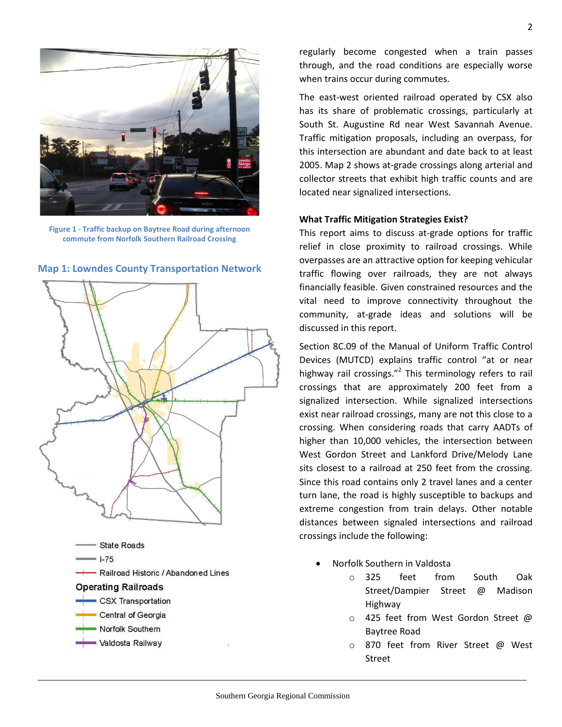

**Figure 1 - Traffic backup on Baytree Road during afternoon commute from Norfolk Southern Railroad Crossing**



**Map 1: Lowndes County Transportation Network**

regularly become congested when a train passes through, and the road conditions are especially worse when trains occur during commutes.

The east-west oriented railroad operated by CSX also has its share of problematic crossings, particularly at South St. Augustine Rd near West Savannah Avenue. Traffic mitigation proposals, including an overpass, for this intersection are abundant and date back to at least 2005. Map 2 shows at-grade crossings along arterial and collector streets that exhibit high traffic counts and are located near signalized intersections.

## **What Traffic Mitigation Strategies Exist?**

This report aims to discuss at-grade options for traffic relief in close proximity to railroad crossings. While overpasses are an attractive option for keeping vehicular traffic flowing over railroads, they are not always financially feasible. Given constrained resources and the vital need to improve connectivity throughout the community, at-grade ideas and solutions will be discussed in this report.

Section 8C.09 of the Manual of Uniform Traffic Control Devices (MUTCD) explains traffic control "at or near highway rail crossings."<sup>2</sup> This terminology refers to rail crossings that are approximately 200 feet from a signalized intersection. While signalized intersections exist near railroad crossings, many are not this close to a crossing. When considering roads that carry AADTs of higher than 10,000 vehicles, the intersection between West Gordon Street and Lankford Drive/Melody Lane sits closest to a railroad at 250 feet from the crossing. Since this road contains only 2 travel lanes and a center turn lane, the road is highly susceptible to backups and extreme congestion from train delays. Other notable distances between signaled intersections and railroad crossings include the following:

- Norfolk Southern in Valdosta
	- o 325 feet from South Oak Street/Dampier Street @ Madison Highway
	- o 425 feet from West Gordon Street @ Baytree Road
	- o 870 feet from River Street @ West Street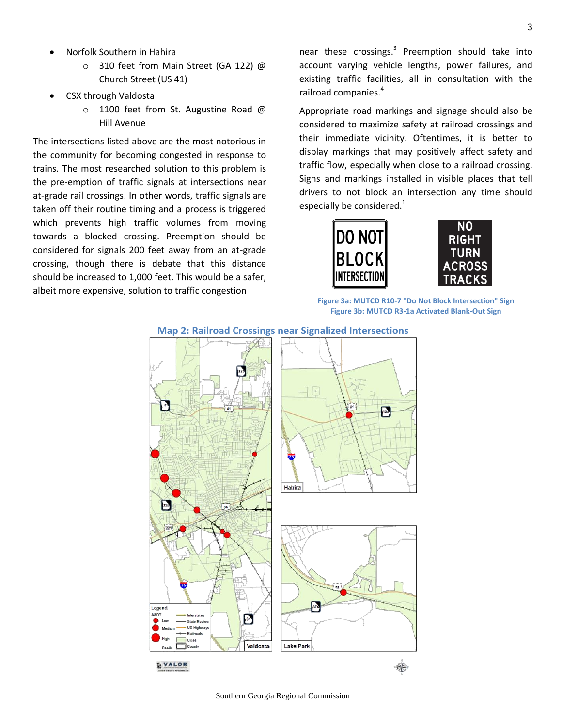- Norfolk Southern in Hahira
	- o 310 feet from Main Street (GA 122) @ Church Street (US 41)
- CSX through Valdosta
	- o 1100 feet from St. Augustine Road @ Hill Avenue

The intersections listed above are the most notorious in the community for becoming congested in response to trains. The most researched solution to this problem is the pre-emption of traffic signals at intersections near at-grade rail crossings. In other words, traffic signals are taken off their routine timing and a process is triggered which prevents high traffic volumes from moving towards a blocked crossing. Preemption should be considered for signals 200 feet away from an at-grade crossing, though there is debate that this distance should be increased to 1,000 feet. This would be a safer, albeit more expensive, solution to traffic congestion

near these crossings.<sup>3</sup> Preemption should take into account varying vehicle lengths, power failures, and existing traffic facilities, all in consultation with the railroad companies.<sup>4</sup>

Appropriate road markings and signage should also be considered to maximize safety at railroad crossings and their immediate vicinity. Oftentimes, it is better to display markings that may positively affect safety and traffic flow, especially when close to a railroad crossing. Signs and markings installed in visible places that tell drivers to not block an intersection any time should especially be considered.<sup>1</sup>





**Figure 3a: MUTCD R10-7 "Do Not Block Intersection" Sign Figure 3b: MUTCD R3-1a Activated Blank-Out Sign**



## **Map 2: Railroad Crossings near Signalized Intersections**